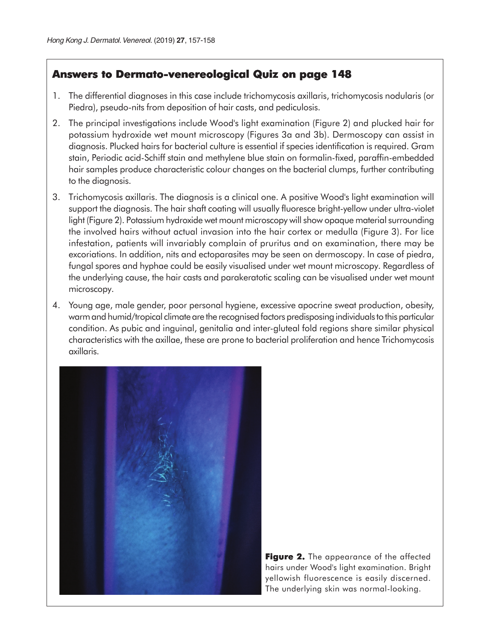## **Answers to Dermato-venereological Quiz on page 148**

- 1. The differential diagnoses in this case include trichomycosis axillaris, trichomycosis nodularis (or Piedra), pseudo-nits from deposition of hair casts, and pediculosis.
- 2. The principal investigations include Wood's light examination (Figure 2) and plucked hair for potassium hydroxide wet mount microscopy (Figures 3a and 3b). Dermoscopy can assist in diagnosis. Plucked hairs for bacterial culture is essential if species identification is required. Gram stain, Periodic acid-Schiff stain and methylene blue stain on formalin-fixed, paraffin-embedded hair samples produce characteristic colour changes on the bacterial clumps, further contributing to the diagnosis.
- 3. Trichomycosis axillaris. The diagnosis is a clinical one. A positive Wood's light examination will support the diagnosis. The hair shaft coating will usually fluoresce bright-yellow under ultra-violet light (Figure 2). Potassium hydroxide wet mount microscopy will show opaque material surrounding the involved hairs without actual invasion into the hair cortex or medulla (Figure 3). For lice infestation, patients will invariably complain of pruritus and on examination, there may be excoriations. In addition, nits and ectoparasites may be seen on dermoscopy. In case of piedra, fungal spores and hyphae could be easily visualised under wet mount microscopy. Regardless of the underlying cause, the hair casts and parakeratotic scaling can be visualised under wet mount microscopy.
- 4. Young age, male gender, poor personal hygiene, excessive apocrine sweat production, obesity, warm and humid/tropical climate are the recognised factors predisposing individuals to this particular condition. As pubic and inguinal, genitalia and inter-gluteal fold regions share similar physical characteristics with the axillae, these are prone to bacterial proliferation and hence Trichomycosis axillaris.



**Figure 2.** The appearance of the affected hairs under Wood's light examination. Bright yellowish fluorescence is easily discerned. The underlying skin was normal-looking.